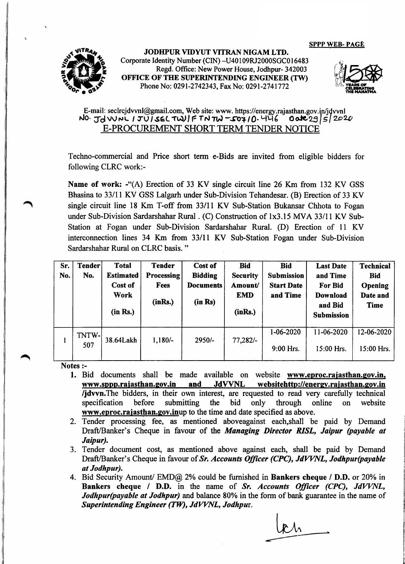SPPP WEB- PAGE



JODHPUR VIDYUT VITRAN NIGAM LTD. Corporate Identity Number (CIN) -U40 109RJ2000SGCO 16483 Regd. Office: New Power House, Jodhpur- 342003 OFFICE OF THE SUPERINTENDING ENGINEER (TW) Phone No: 0291-2742343, Fax No: 0291-2741772



## E-mail: [seclrcjdvvnl@gmail.com,](mailto:seclrcjdvvnl@gmail.com,) Web site: www. https://energy.rajasthan.gov.in/jdvvnl<br>l0.  $Jd \vee \sim \text{1 U} \times L$  TU  $\leq \text{1 U}$   $\leq \text{1 U}$   $\leq \text{1 U}$   $\leq \text{1 U}$ **NO**· JdVVNL 1JUISELTWIF TN TW-50710·446 E-PROCUREMENT SHORT TERM TENDER NOTICE

Techno-commercial and Price short term e-Bids are invited from eligible bidders for following CLRC work:-

Name of work: -"(A) Erection of 33 KV single circuit line 26 Km from 132 KV GSS Bhasina to 33/11 KV GSS Lalgarh under Sub-Division Tehandesar. (B) Erection of 33 KV single circuit line 18 Km T-off from 33/11 KV Sub-Station Bukansar Chhota to Fogan under Sub-Division Sardarshahar Rural. (C) Construction of lx3.15 MVA 33/11 KV Sub-Station at Fogan under Sub-Division Sardarshahar Rural. (D) Erection of 11 KV interconnection lines 34 Km from 33/11 KV Sub-Station Fogan under Sub-Division Sardarshahar Rural on CLRC basis. "

| Sr. | <b>Tender</b> | <b>Total</b>     | <b>Tender</b>     | Cost of          | <b>Bid</b>      | <b>Bid</b>        | <b>Last Date</b>  | <b>Technical</b> |
|-----|---------------|------------------|-------------------|------------------|-----------------|-------------------|-------------------|------------------|
| No. | No.           | <b>Estimated</b> | <b>Processing</b> | <b>Bidding</b>   | <b>Security</b> | Submission        | and Time          | <b>Bid</b>       |
|     |               | Cost of          | Fees              | <b>Documents</b> | Amount/         | <b>Start Date</b> | <b>For Bid</b>    | Opening          |
|     |               | <b>Work</b>      |                   |                  | <b>EMD</b>      | and Time          | <b>Download</b>   | Date and         |
|     |               | (in Rs.)         | (inRs.)           | (in Rs)          | (inRs.)         |                   | and Bid           | <b>Time</b>      |
|     |               |                  |                   |                  |                 |                   | <b>Submission</b> |                  |
|     |               |                  |                   |                  |                 |                   |                   |                  |
|     | TNTW-<br>507  | 38.64Lakh        | $1,180/-$         | $2950/-$         | $77,282/-$      | 1-06-2020         | 11-06-2020        | 12-06-2020       |
|     |               |                  |                   |                  |                 | 9:00 Hrs.         | 15:00 Hrs.        | 15:00 Hrs.       |
|     |               |                  |                   |                  |                 |                   |                   |                  |

Notes :-

- 1. Bid documents shall be made available on website [www.eproc.rajasthan.gov.in.](http://www.eproc.rajasthan.gov.in.) www.sppp.rajasthan.gov.in and JdVVNL websitehttp://energy.rajasthan.gov.in /jdvvn. The bidders, in their own interest, are requested to read very carefully technical specification before submitting the bid only through online on website [www.eproc.rajasthan.gov.inup](http://www.eproc.rajasthan.gov.inup) to the time and date specified as above.
- 2. Tender processing fee, as mentioned aboveagainst each,shall be paid by Demand Draft/Banker's Cheque in favour of the *Managing Director RISL, Jaipur (payable at Jaipur).*
- 3. Tender document cost, as mentioned above against each, shall be paid by Demand Draft/Banker's Cheque in favour of *Sr. Accounts Officer (CPC), JdVVNL, Jodhpur(payable at Jodhpur).*
- 4. Bid Security Amount/ EMD@ 2% could be furnished in Bankers cheque / D.D. or 20% in Bankers cheque *I* D.D. in the name of *Sr. Accounts Officer (CPC), JdVVNL, Jodhpur(payable at Jodhpur)* and balance 80% in the form of bank guarantee in the name of *Superintending Engineer (TW), JdVVNL, Jodhpur.*

 $\bm{k}$   $\bm{\Lambda}$